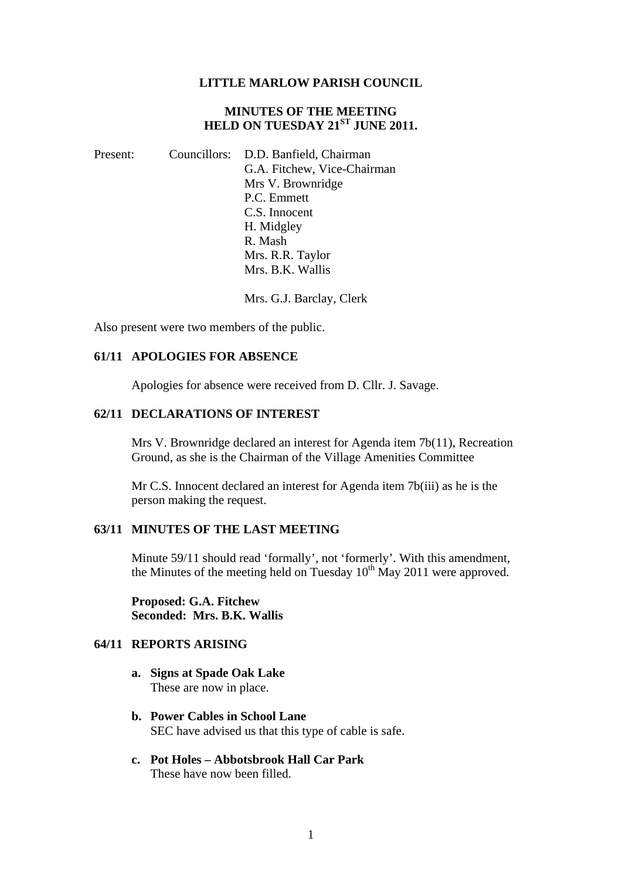#### **LITTLE MARLOW PARISH COUNCIL**

## **MINUTES OF THE MEETING HELD ON TUESDAY 21ST JUNE 2011.**

Present: Councillors: D.D. Banfield, Chairman G.A. Fitchew, Vice-Chairman Mrs V. Brownridge P.C. Emmett C.S. Innocent H. Midgley R. Mash Mrs. R.R. Taylor Mrs. B.K. Wallis

Mrs. G.J. Barclay, Clerk

Also present were two members of the public.

#### **61/11 APOLOGIES FOR ABSENCE**

Apologies for absence were received from D. Cllr. J. Savage.

#### **62/11 DECLARATIONS OF INTEREST**

Mrs V. Brownridge declared an interest for Agenda item 7b(11), Recreation Ground, as she is the Chairman of the Village Amenities Committee

Mr C.S. Innocent declared an interest for Agenda item 7b(iii) as he is the person making the request.

## **63/11 MINUTES OF THE LAST MEETING**

Minute 59/11 should read 'formally', not 'formerly'. With this amendment, the Minutes of the meeting held on Tuesday  $10^{th}$  May 2011 were approved.

**Proposed: G.A. Fitchew Seconded: Mrs. B.K. Wallis** 

## **64/11 REPORTS ARISING**

- **a. Signs at Spade Oak Lake**  These are now in place.
- **b. Power Cables in School Lane**  SEC have advised us that this type of cable is safe.
- **c. Pot Holes Abbotsbrook Hall Car Park**  These have now been filled.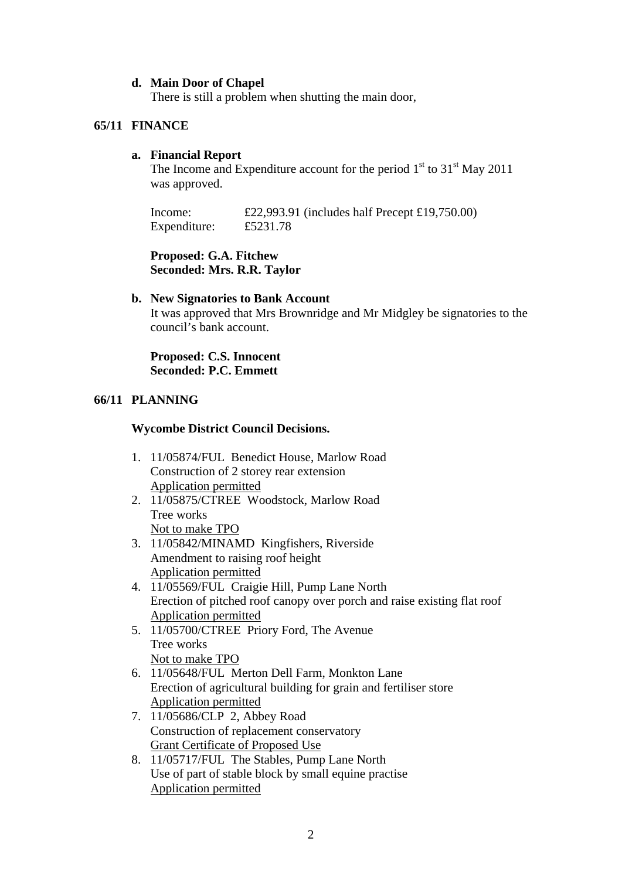## **d. Main Door of Chapel**

There is still a problem when shutting the main door,

## **65/11 FINANCE**

## **a. Financial Report**

The Income and Expenditure account for the period  $1<sup>st</sup>$  to  $31<sup>st</sup>$  May 2011 was approved.

Income: £22,993.91 (includes half Precept £19,750.00) Expenditure: £5231.78

**Proposed: G.A. Fitchew Seconded: Mrs. R.R. Taylor** 

## **b. New Signatories to Bank Account**

It was approved that Mrs Brownridge and Mr Midgley be signatories to the council's bank account.

**Proposed: C.S. Innocent Seconded: P.C. Emmett** 

## **66/11 PLANNING**

## **Wycombe District Council Decisions.**

- 1. 11/05874/FUL Benedict House, Marlow Road Construction of 2 storey rear extension Application permitted
- 2. 11/05875/CTREE Woodstock, Marlow Road Tree works Not to make TPO
- 3. 11/05842/MINAMD Kingfishers, Riverside Amendment to raising roof height Application permitted
- 4. 11/05569/FUL Craigie Hill, Pump Lane North Erection of pitched roof canopy over porch and raise existing flat roof Application permitted
- 5. 11/05700/CTREE Priory Ford, The Avenue Tree works Not to make TPO
- 6. 11/05648/FUL Merton Dell Farm, Monkton Lane Erection of agricultural building for grain and fertiliser store Application permitted
- 7. 11/05686/CLP 2, Abbey Road Construction of replacement conservatory Grant Certificate of Proposed Use
- 8. 11/05717/FUL The Stables, Pump Lane North Use of part of stable block by small equine practise Application permitted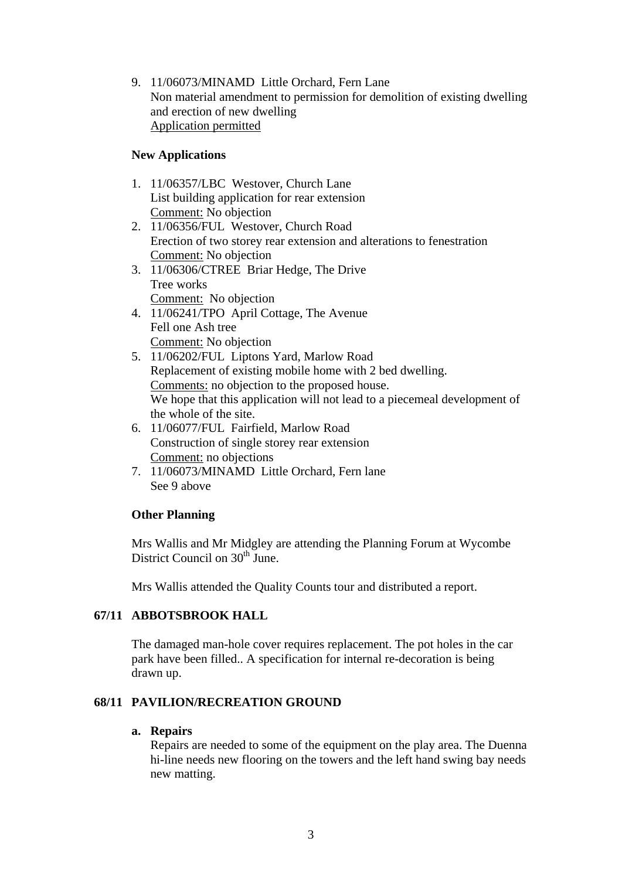9. 11/06073/MINAMD Little Orchard, Fern Lane Non material amendment to permission for demolition of existing dwelling and erection of new dwelling Application permitted

## **New Applications**

- 1. 11/06357/LBC Westover, Church Lane List building application for rear extension Comment: No objection
- 2. 11/06356/FUL Westover, Church Road Erection of two storey rear extension and alterations to fenestration Comment: No objection
- 3. 11/06306/CTREE Briar Hedge, The Drive Tree works Comment: No objection
- 4. 11/06241/TPO April Cottage, The Avenue Fell one Ash tree Comment: No objection
- 5. 11/06202/FUL Liptons Yard, Marlow Road Replacement of existing mobile home with 2 bed dwelling. Comments: no objection to the proposed house. We hope that this application will not lead to a piecemeal development of the whole of the site.
- 6. 11/06077/FUL Fairfield, Marlow Road Construction of single storey rear extension Comment: no objections
- 7. 11/06073/MINAMD Little Orchard, Fern lane See 9 above

## **Other Planning**

Mrs Wallis and Mr Midgley are attending the Planning Forum at Wycombe District Council on  $30<sup>th</sup>$  June.

Mrs Wallis attended the Quality Counts tour and distributed a report.

## **67/11 ABBOTSBROOK HALL**

The damaged man-hole cover requires replacement. The pot holes in the car park have been filled.. A specification for internal re-decoration is being drawn up.

# **68/11 PAVILION/RECREATION GROUND**

## **a. Repairs**

Repairs are needed to some of the equipment on the play area. The Duenna hi-line needs new flooring on the towers and the left hand swing bay needs new matting.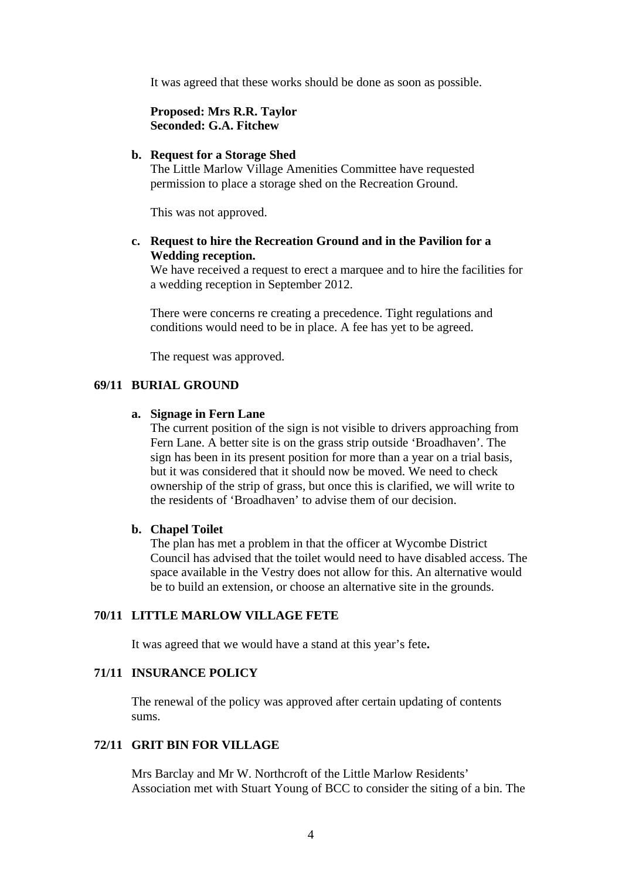It was agreed that these works should be done as soon as possible.

**Proposed: Mrs R.R. Taylor Seconded: G.A. Fitchew** 

#### **b. Request for a Storage Shed**

The Little Marlow Village Amenities Committee have requested permission to place a storage shed on the Recreation Ground.

This was not approved.

## **c. Request to hire the Recreation Ground and in the Pavilion for a Wedding reception.**

We have received a request to erect a marquee and to hire the facilities for a wedding reception in September 2012.

There were concerns re creating a precedence. Tight regulations and conditions would need to be in place. A fee has yet to be agreed.

The request was approved.

## **69/11 BURIAL GROUND**

#### **a. Signage in Fern Lane**

The current position of the sign is not visible to drivers approaching from Fern Lane. A better site is on the grass strip outside 'Broadhaven'. The sign has been in its present position for more than a year on a trial basis, but it was considered that it should now be moved. We need to check ownership of the strip of grass, but once this is clarified, we will write to the residents of 'Broadhaven' to advise them of our decision.

#### **b. Chapel Toilet**

The plan has met a problem in that the officer at Wycombe District Council has advised that the toilet would need to have disabled access. The space available in the Vestry does not allow for this. An alternative would be to build an extension, or choose an alternative site in the grounds.

## **70/11 LITTLE MARLOW VILLAGE FETE**

It was agreed that we would have a stand at this year's fete**.** 

## **71/11 INSURANCE POLICY**

The renewal of the policy was approved after certain updating of contents sums.

### **72/11 GRIT BIN FOR VILLAGE**

Mrs Barclay and Mr W. Northcroft of the Little Marlow Residents' Association met with Stuart Young of BCC to consider the siting of a bin. The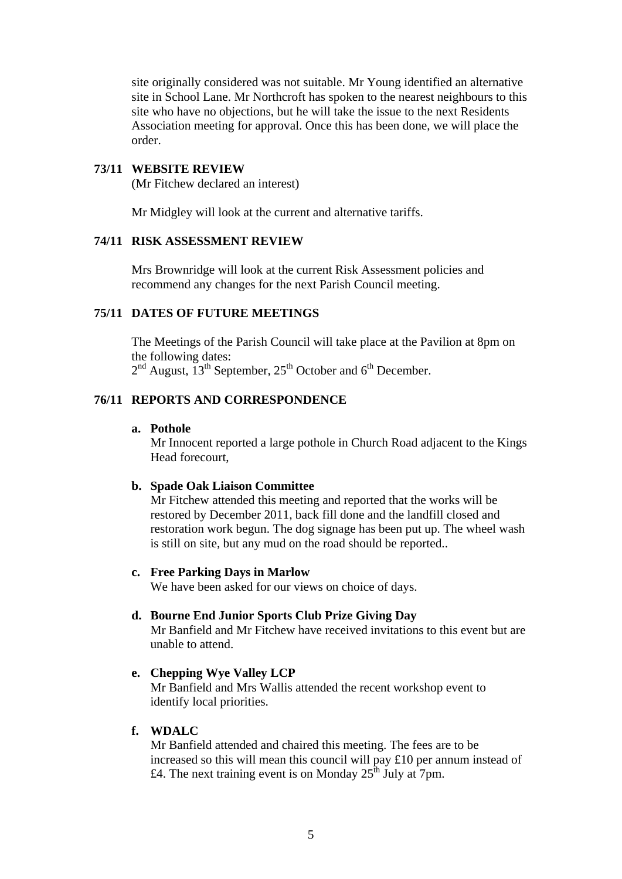site originally considered was not suitable. Mr Young identified an alternative site in School Lane. Mr Northcroft has spoken to the nearest neighbours to this site who have no objections, but he will take the issue to the next Residents Association meeting for approval. Once this has been done, we will place the order.

#### **73/11 WEBSITE REVIEW**

(Mr Fitchew declared an interest)

Mr Midgley will look at the current and alternative tariffs.

#### **74/11 RISK ASSESSMENT REVIEW**

Mrs Brownridge will look at the current Risk Assessment policies and recommend any changes for the next Parish Council meeting.

#### **75/11 DATES OF FUTURE MEETINGS**

The Meetings of the Parish Council will take place at the Pavilion at 8pm on the following dates:  $2<sup>nd</sup>$  August,  $13<sup>th</sup>$  September,  $25<sup>th</sup>$  October and  $6<sup>th</sup>$  December.

#### **76/11 REPORTS AND CORRESPONDENCE**

## **a. Pothole**

Mr Innocent reported a large pothole in Church Road adjacent to the Kings Head forecourt,

#### **b. Spade Oak Liaison Committee**

Mr Fitchew attended this meeting and reported that the works will be restored by December 2011, back fill done and the landfill closed and restoration work begun. The dog signage has been put up. The wheel wash is still on site, but any mud on the road should be reported..

#### **c. Free Parking Days in Marlow**

We have been asked for our views on choice of days.

#### **d. Bourne End Junior Sports Club Prize Giving Day**

Mr Banfield and Mr Fitchew have received invitations to this event but are unable to attend.

#### **e. Chepping Wye Valley LCP**

Mr Banfield and Mrs Wallis attended the recent workshop event to identify local priorities.

## **f. WDALC**

Mr Banfield attended and chaired this meeting. The fees are to be increased so this will mean this council will pay £10 per annum instead of £4. The next training event is on Monday  $25^{\text{th}}$  July at 7pm.